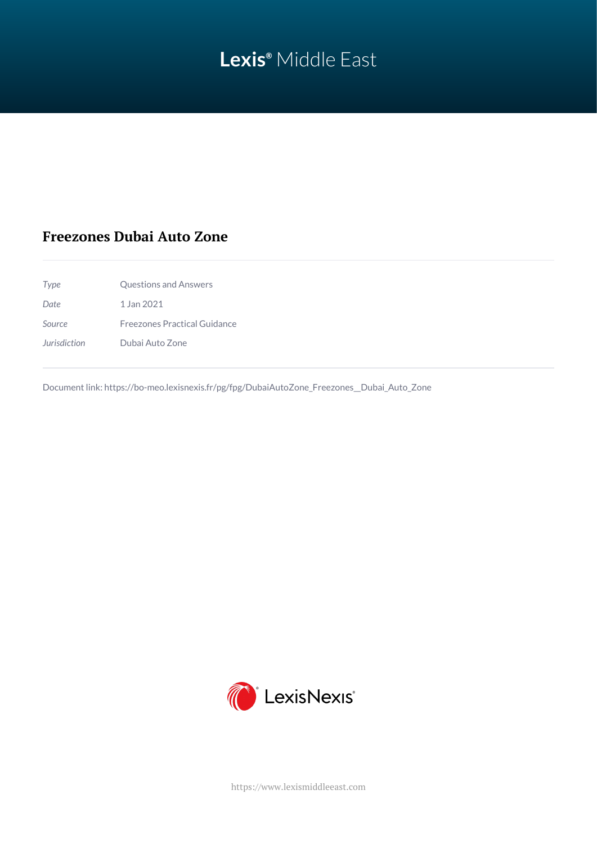# **Lexis®** Middle East

### **Freezones Dubai Auto Zone**

| 1 Jan 2021<br>Date<br>Freezones Practical Guidance<br>Source<br><b>Jurisdiction</b><br>Dubai Auto Zone | Type | Questions and Answers |
|--------------------------------------------------------------------------------------------------------|------|-----------------------|
|                                                                                                        |      |                       |
|                                                                                                        |      |                       |
|                                                                                                        |      |                       |

Document link: [https://bo-meo.lexisnexis.fr/pg/fpg/DubaiAutoZone\\_Freezones\\_\\_Dubai\\_Auto\\_Zone](https://bo-meo.lexisnexis.fr/pg/fpg/DubaiAutoZone_Freezones__Dubai_Auto_Zone)



<https://www.lexismiddleeast.com>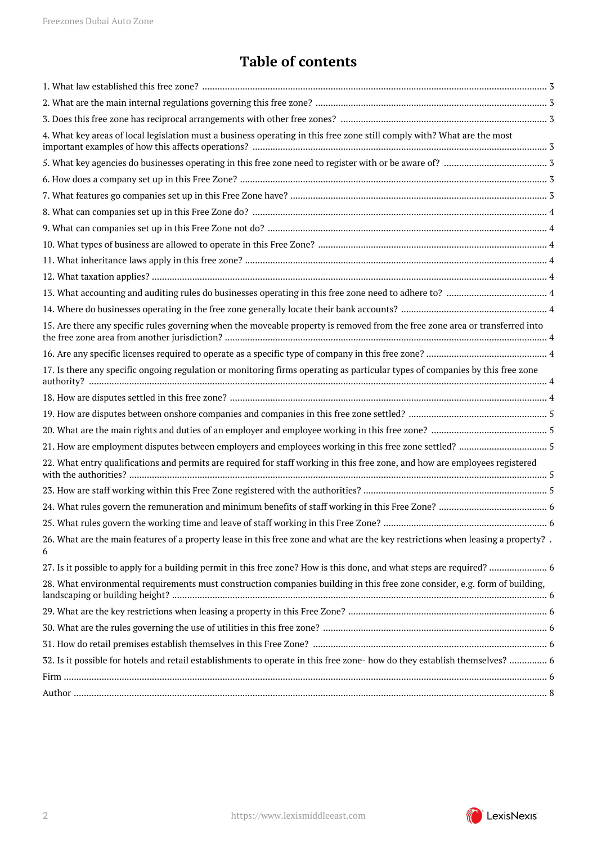# **Table of contents**

| 4. What key areas of local legislation must a business operating in this free zone still comply with? What are the most               |  |
|---------------------------------------------------------------------------------------------------------------------------------------|--|
|                                                                                                                                       |  |
|                                                                                                                                       |  |
|                                                                                                                                       |  |
|                                                                                                                                       |  |
|                                                                                                                                       |  |
|                                                                                                                                       |  |
|                                                                                                                                       |  |
|                                                                                                                                       |  |
|                                                                                                                                       |  |
|                                                                                                                                       |  |
| 15. Are there any specific rules governing when the moveable property is removed from the free zone area or transferred into          |  |
|                                                                                                                                       |  |
| 17. Is there any specific ongoing regulation or monitoring firms operating as particular types of companies by this free zone         |  |
|                                                                                                                                       |  |
|                                                                                                                                       |  |
|                                                                                                                                       |  |
|                                                                                                                                       |  |
| 22. What entry qualifications and permits are required for staff working in this free zone, and how are employees registered          |  |
|                                                                                                                                       |  |
|                                                                                                                                       |  |
|                                                                                                                                       |  |
| 26. What are the main features of a property lease in this free zone and what are the key restrictions when leasing a property?.<br>6 |  |
|                                                                                                                                       |  |
| 28. What environmental requirements must construction companies building in this free zone consider, e.g. form of building,           |  |
|                                                                                                                                       |  |
|                                                                                                                                       |  |
|                                                                                                                                       |  |
| 32. Is it possible for hotels and retail establishments to operate in this free zone- how do they establish themselves?  6            |  |
|                                                                                                                                       |  |
|                                                                                                                                       |  |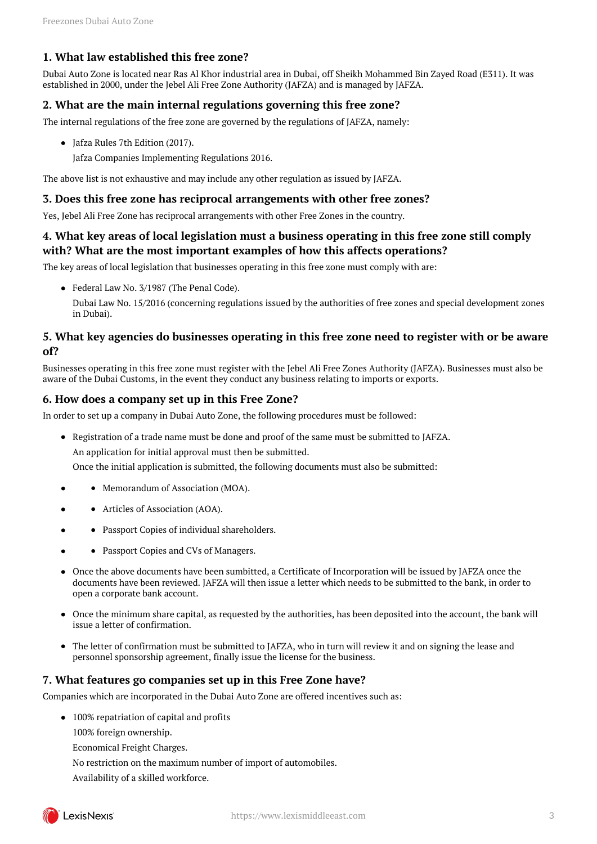#### <span id="page-2-0"></span>**1. What law established this free zone?**

Dubai Auto Zone is located near Ras Al Khor industrial area in Dubai, off Sheikh Mohammed Bin Zayed Road (E311). It was established in 2000, under the Jebel Ali Free Zone Authority (JAFZA) and is managed by JAFZA.

#### <span id="page-2-1"></span>**2. What are the main internal regulations governing this free zone?**

The internal regulations of the free zone are governed by the regulations of JAFZA, namely:

• Jafza Rules 7th Edition (2017).

Jafza Companies Implementing Regulations 2016.

The above list is not exhaustive and may include any other regulation as issued by JAFZA.

#### <span id="page-2-2"></span>**3. Does this free zone has reciprocal arrangements with other free zones?**

Yes, Jebel Ali Free Zone has reciprocal arrangements with other Free Zones in the country.

#### <span id="page-2-3"></span>**4. What key areas of local legislation must a business operating in this free zone still comply with? What are the most important examples of how this affects operations?**

The key areas of local legislation that businesses operating in this free zone must comply with are:

Federal Law No. 3/1987 (The Penal Code).

Dubai Law No. 15/2016 (concerning regulations issued by the authorities of free zones and special development zones in Dubai).

#### <span id="page-2-4"></span>**5. What key agencies do businesses operating in this free zone need to register with or be aware of?**

Businesses operating in this free zone must register with the Jebel Ali Free Zones Authority (JAFZA). Businesses must also be aware of the Dubai Customs, in the event they conduct any business relating to imports or exports.

#### <span id="page-2-5"></span>**6. How does a company set up in this Free Zone?**

In order to set up a company in Dubai Auto Zone, the following procedures must be followed:

Registration of a trade name must be done and proof of the same must be submitted to JAFZA. An application for initial approval must then be submitted.

Once the initial application is submitted, the following documents must also be submitted:

- Memorandum of Association (MOA).
- Articles of Association (AOA).
- Passport Copies of individual shareholders.
- Passport Copies and CVs of Managers.
- Once the above documents have been sumbitted, a Certificate of Incorporation will be issued by JAFZA once the documents have been reviewed. JAFZA will then issue a letter which needs to be submitted to the bank, in order to open a corporate bank account.
- Once the minimum share capital, as requested by the authorities, has been deposited into the account, the bank will issue a letter of confirmation.
- The letter of confirmation must be submitted to JAFZA, who in turn will review it and on signing the lease and personnel sponsorship agreement, finally issue the license for the business.

#### <span id="page-2-6"></span>**7. What features go companies set up in this Free Zone have?**

Companies which are incorporated in the Dubai Auto Zone are offered incentives such as:

- 100% repatriation of capital and profits
	- 100% foreign ownership.
	- Economical Freight Charges.

No restriction on the maximum number of import of automobiles.

Availability of a skilled workforce.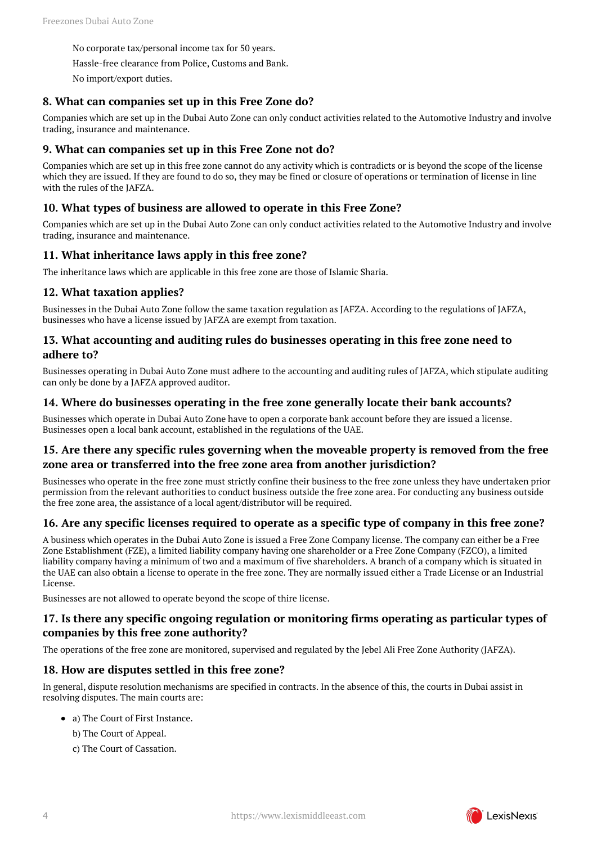No corporate tax/personal income tax for 50 years.

Hassle-free clearance from Police, Customs and Bank.

No import/export duties.

#### <span id="page-3-0"></span>**8. What can companies set up in this Free Zone do?**

Companies which are set up in the Dubai Auto Zone can only conduct activities related to the Automotive Industry and involve trading, insurance and maintenance.

#### <span id="page-3-1"></span>**9. What can companies set up in this Free Zone not do?**

Companies which are set up in this free zone cannot do any activity which is contradicts or is beyond the scope of the license which they are issued. If they are found to do so, they may be fined or closure of operations or termination of license in line with the rules of the JAFZA.

#### <span id="page-3-2"></span>**10. What types of business are allowed to operate in this Free Zone?**

Companies which are set up in the Dubai Auto Zone can only conduct activities related to the Automotive Industry and involve trading, insurance and maintenance.

#### <span id="page-3-3"></span>**11. What inheritance laws apply in this free zone?**

The inheritance laws which are applicable in this free zone are those of Islamic Sharia.

#### <span id="page-3-4"></span>**12. What taxation applies?**

Businesses in the Dubai Auto Zone follow the same taxation regulation as JAFZA. According to the regulations of JAFZA, businesses who have a license issued by JAFZA are exempt from taxation.

#### <span id="page-3-5"></span>**13. What accounting and auditing rules do businesses operating in this free zone need to adhere to?**

Businesses operating in Dubai Auto Zone must adhere to the accounting and auditing rules of JAFZA, which stipulate auditing can only be done by a JAFZA approved auditor.

#### <span id="page-3-6"></span>**14. Where do businesses operating in the free zone generally locate their bank accounts?**

Businesses which operate in Dubai Auto Zone have to open a corporate bank account before they are issued a license. Businesses open a local bank account, established in the regulations of the UAE.

#### <span id="page-3-7"></span>**15. Are there any specific rules governing when the moveable property is removed from the free zone area or transferred into the free zone area from another jurisdiction?**

Businesses who operate in the free zone must strictly confine their business to the free zone unless they have undertaken prior permission from the relevant authorities to conduct business outside the free zone area. For conducting any business outside the free zone area, the assistance of a local agent/distributor will be required.

#### <span id="page-3-8"></span>**16. Are any specific licenses required to operate as a specific type of company in this free zone?**

A business which operates in the Dubai Auto Zone is issued a Free Zone Company license. The company can either be a Free Zone Establishment (FZE), a limited liability company having one shareholder or a Free Zone Company (FZCO), a limited liability company having a minimum of two and a maximum of five shareholders. A branch of a company which is situated in the UAE can also obtain a license to operate in the free zone. They are normally issued either a Trade License or an Industrial License.

Businesses are not allowed to operate beyond the scope of thire license.

#### <span id="page-3-9"></span>**17. Is there any specific ongoing regulation or monitoring firms operating as particular types of companies by this free zone authority?**

The operations of the free zone are monitored, supervised and regulated by the Jebel Ali Free Zone Authority (JAFZA).

#### <span id="page-3-10"></span>**18. How are disputes settled in this free zone?**

In general, dispute resolution mechanisms are specified in contracts. In the absence of this, the courts in Dubai assist in resolving disputes. The main courts are:

- a) The Court of First Instance.
	- b) The Court of Appeal.
	- c) The Court of Cassation.

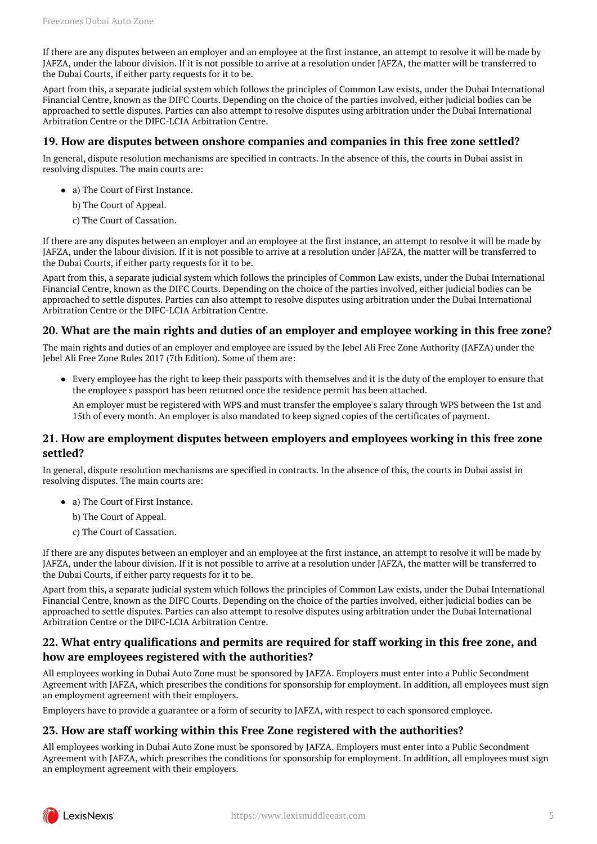If there are any disputes between an employer and an employee at the first instance, an attempt to resolve it will be made by JAFZA, under the labour division. If it is not possible to arrive at a resolution under JAFZA, the matter will be transferred to the Dubai Courts, if either party requests for it to be.

Apart from this, a separate judicial system which follows the principles of Common Law exists, under the Dubai International Financial Centre, known as the DIFC Courts. Depending on the choice of the parties involved, either judicial bodies can be approached to settle disputes. Parties can also attempt to resolve disputes using arbitration under the Dubai International Arbitration Centre or the DIFC-LCIA Arbitration Centre.

#### <span id="page-4-0"></span>**19. How are disputes between onshore companies and companies in this free zone settled?**

In general, dispute resolution mechanisms are specified in contracts. In the absence of this, the courts in Dubai assist in resolving disputes. The main courts are:

- a) The Court of First Instance.
	- b) The Court of Appeal.
	- c) The Court of Cassation.

If there are any disputes between an employer and an employee at the first instance, an attempt to resolve it will be made by JAFZA, under the labour division. If it is not possible to arrive at a resolution under JAFZA, the matter will be transferred to the Dubai Courts, if either party requests for it to be.

Apart from this, a separate judicial system which follows the principles of Common Law exists, under the Dubai International Financial Centre, known as the DIFC Courts. Depending on the choice of the parties involved, either judicial bodies can be approached to settle disputes. Parties can also attempt to resolve disputes using arbitration under the Dubai International Arbitration Centre or the DIFC-LCIA Arbitration Centre.

#### <span id="page-4-1"></span>**20. What are the main rights and duties of an employer and employee working in this free zone?**

The main rights and duties of an employer and employee are issued by the Jebel Ali Free Zone Authority (JAFZA) under the Jebel Ali Free Zone Rules 2017 (7th Edition). Some of them are:

Every employee has the right to keep their passports with themselves and it is the duty of the employer to ensure that the employee's passport has been returned once the residence permit has been attached.

An employer must be registered with WPS and must transfer the employee's salary through WPS between the 1st and 15th of every month. An employer is also mandated to keep signed copies of the certificates of payment.

#### <span id="page-4-2"></span>**21. How are employment disputes between employers and employees working in this free zone settled?**

In general, dispute resolution mechanisms are specified in contracts. In the absence of this, the courts in Dubai assist in resolving disputes. The main courts are:

- a) The Court of First Instance.
	- b) The Court of Appeal.
	- c) The Court of Cassation.

If there are any disputes between an employer and an employee at the first instance, an attempt to resolve it will be made by JAFZA, under the labour division. If it is not possible to arrive at a resolution under JAFZA, the matter will be transferred to the Dubai Courts, if either party requests for it to be.

Apart from this, a separate judicial system which follows the principles of Common Law exists, under the Dubai International Financial Centre, known as the DIFC Courts. Depending on the choice of the parties involved, either judicial bodies can be approached to settle disputes. Parties can also attempt to resolve disputes using arbitration under the Dubai International Arbitration Centre or the DIFC-LCIA Arbitration Centre.

#### <span id="page-4-3"></span>**22. What entry qualifications and permits are required for staff working in this free zone, and how are employees registered with the authorities?**

All employees working in Dubai Auto Zone must be sponsored by JAFZA. Employers must enter into a Public Secondment Agreement with JAFZA, which prescribes the conditions for sponsorship for employment. In addition, all employees must sign an employment agreement with their employers.

Employers have to provide a guarantee or a form of security to JAFZA, with respect to each sponsored employee.

#### <span id="page-4-4"></span>**23. How are staff working within this Free Zone registered with the authorities?**

All employees working in Dubai Auto Zone must be sponsored by JAFZA. Employers must enter into a Public Secondment Agreement with JAFZA, which prescribes the conditions for sponsorship for employment. In addition, all employees must sign an employment agreement with their employers.

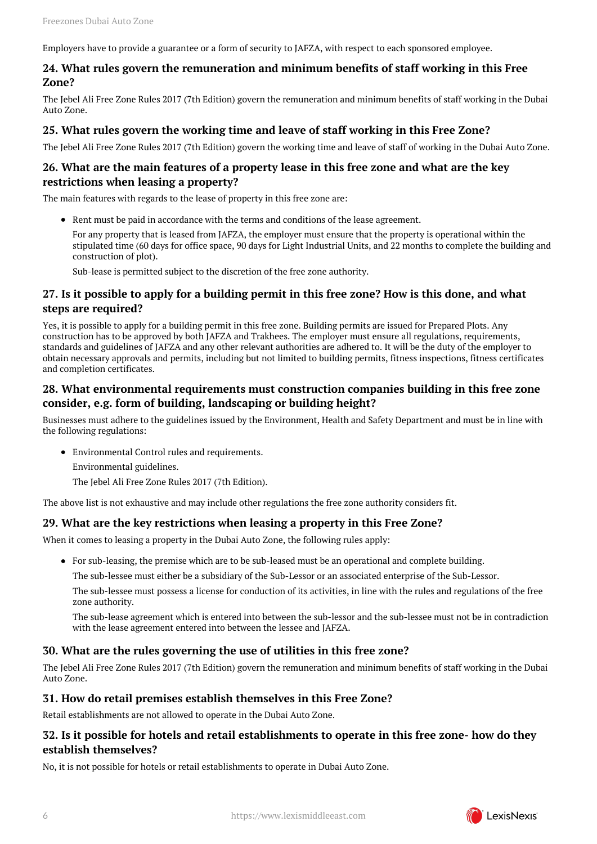Employers have to provide a guarantee or a form of security to JAFZA, with respect to each sponsored employee.

#### <span id="page-5-0"></span>**24. What rules govern the remuneration and minimum benefits of staff working in this Free Zone?**

The Jebel Ali Free Zone Rules 2017 (7th Edition) govern the remuneration and minimum benefits of staff working in the Dubai Auto Zone.

#### <span id="page-5-1"></span>**25. What rules govern the working time and leave of staff working in this Free Zone?**

The Jebel Ali Free Zone Rules 2017 (7th Edition) govern the working time and leave of staff of working in the Dubai Auto Zone.

#### <span id="page-5-2"></span>**26. What are the main features of a property lease in this free zone and what are the key restrictions when leasing a property?**

The main features with regards to the lease of property in this free zone are:

• Rent must be paid in accordance with the terms and conditions of the lease agreement.

For any property that is leased from JAFZA, the employer must ensure that the property is operational within the stipulated time (60 days for office space, 90 days for Light Industrial Units, and 22 months to complete the building and construction of plot).

Sub-lease is permitted subject to the discretion of the free zone authority.

#### <span id="page-5-3"></span>**27. Is it possible to apply for a building permit in this free zone? How is this done, and what steps are required?**

Yes, it is possible to apply for a building permit in this free zone. Building permits are issued for Prepared Plots. Any construction has to be approved by both JAFZA and Trakhees. The employer must ensure all regulations, requirements, standards and guidelines of JAFZA and any other relevant authorities are adhered to. It will be the duty of the employer to obtain necessary approvals and permits, including but not limited to building permits, fitness inspections, fitness certificates and completion certificates.

#### <span id="page-5-4"></span>**28. What environmental requirements must construction companies building in this free zone consider, e.g. form of building, landscaping or building height?**

Businesses must adhere to the guidelines issued by the Environment, Health and Safety Department and must be in line with the following regulations:

- Environmental Control rules and requirements.
	- Environmental guidelines.

The Jebel Ali Free Zone Rules 2017 (7th Edition).

The above list is not exhaustive and may include other regulations the free zone authority considers fit.

#### <span id="page-5-5"></span>**29. What are the key restrictions when leasing a property in this Free Zone?**

When it comes to leasing a property in the Dubai Auto Zone, the following rules apply:

For sub-leasing, the premise which are to be sub-leased must be an operational and complete building.

The sub-lessee must either be a subsidiary of the Sub-Lessor or an associated enterprise of the Sub-Lessor.

The sub-lessee must possess a license for conduction of its activities, in line with the rules and regulations of the free zone authority.

The sub-lease agreement which is entered into between the sub-lessor and the sub-lessee must not be in contradiction with the lease agreement entered into between the lessee and JAFZA.

#### <span id="page-5-6"></span>**30. What are the rules governing the use of utilities in this free zone?**

The Jebel Ali Free Zone Rules 2017 (7th Edition) govern the remuneration and minimum benefits of staff working in the Dubai Auto Zone.

#### <span id="page-5-7"></span>**31. How do retail premises establish themselves in this Free Zone?**

Retail establishments are not allowed to operate in the Dubai Auto Zone.

#### <span id="page-5-8"></span>**32. Is it possible for hotels and retail establishments to operate in this free zone- how do they establish themselves?**

<span id="page-5-9"></span>No, it is not possible for hotels or retail establishments to operate in Dubai Auto Zone.

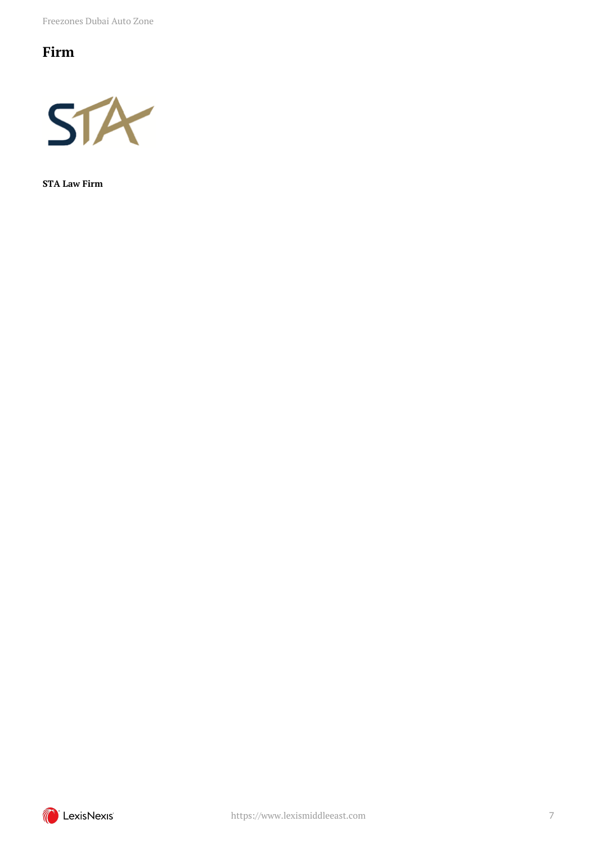Freezones Dubai Auto Zone

## **Firm**



**STA Law Firm**